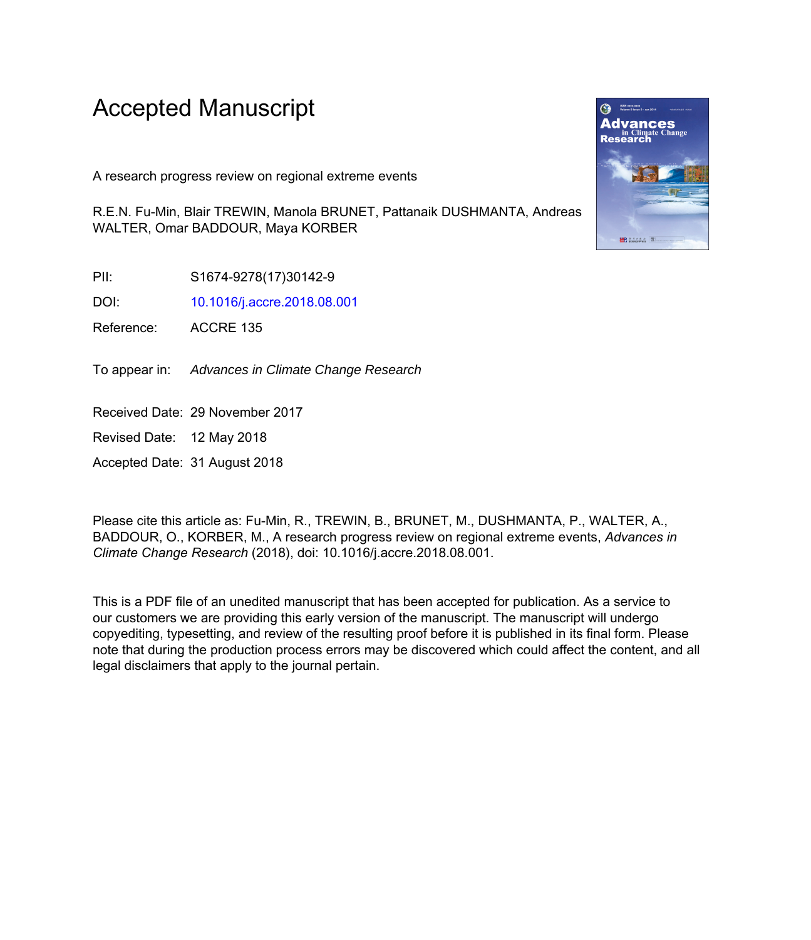# Accepted Manuscript

A research progress review on regional extreme events

R.E.N. Fu-Min, Blair TREWIN, Manola BRUNET, Pattanaik DUSHMANTA, Andreas WALTER, Omar BADDOUR, Maya KORBER

PII: S1674-9278(17)30142-9

DOI: [10.1016/j.accre.2018.08.001](https://doi.org/10.1016/j.accre.2018.08.001)

Reference: ACCRE 135

To appear in: Advances in Climate Change Research

Received Date: 29 November 2017

Revised Date: 12 May 2018

Accepted Date: 31 August 2018

Please cite this article as: Fu-Min, R., TREWIN, B., BRUNET, M., DUSHMANTA, P., WALTER, A., BADDOUR, O., KORBER, M., A research progress review on regional extreme events, *Advances in Climate Change Research* (2018), doi: 10.1016/j.accre.2018.08.001.

This is a PDF file of an unedited manuscript that has been accepted for publication. As a service to our customers we are providing this early version of the manuscript. The manuscript will undergo copyediting, typesetting, and review of the resulting proof before it is published in its final form. Please note that during the production process errors may be discovered which could affect the content, and all legal disclaimers that apply to the journal pertain.

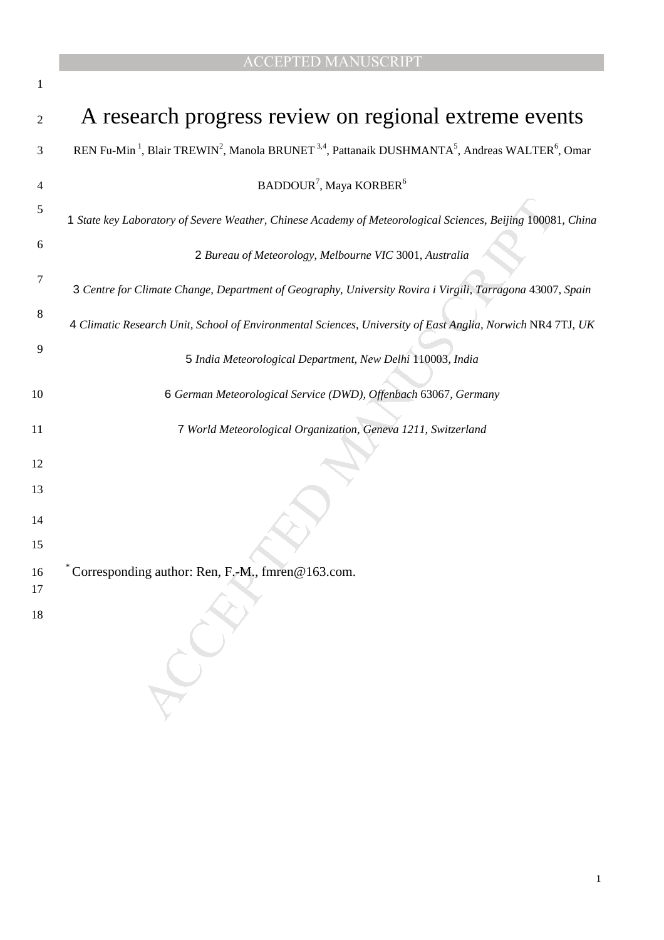|  |  |  |  |  |  | <b>ACCEPTED MANUSCRIPT</b> |
|--|--|--|--|--|--|----------------------------|
|--|--|--|--|--|--|----------------------------|

| 1  |                                                                                                                                                            |
|----|------------------------------------------------------------------------------------------------------------------------------------------------------------|
| 2  | A research progress review on regional extreme events                                                                                                      |
| 3  | REN Fu-Min <sup>1</sup> , Blair TREWIN <sup>2</sup> , Manola BRUNET <sup>3,4</sup> , Pattanaik DUSHMANTA <sup>5</sup> , Andreas WALTER <sup>6</sup> , Omar |
| 4  | BADDOUR <sup>7</sup> , Maya KORBER <sup>6</sup>                                                                                                            |
| 5  | 1 State key Laboratory of Severe Weather, Chinese Academy of Meteorological Sciences, Beijing 100081, China                                                |
| 6  | 2 Bureau of Meteorology, Melbourne VIC 3001, Australia                                                                                                     |
| 7  | 3 Centre for Climate Change, Department of Geography, University Rovira i Virgili, Tarragona 43007, Spain                                                  |
| 8  | 4 Climatic Research Unit, School of Environmental Sciences, University of East Anglia, Norwich NR4 7TJ, UK                                                 |
| 9  | 5 India Meteorological Department, New Delhi 110003, India                                                                                                 |
| 10 | 6 German Meteorological Service (DWD), Offenbach 63067, Germany                                                                                            |
| 11 | 7 World Meteorological Organization, Geneva 1211, Switzerland                                                                                              |
| 12 |                                                                                                                                                            |
| 13 |                                                                                                                                                            |
| 14 |                                                                                                                                                            |
| 15 |                                                                                                                                                            |
| 16 | Corresponding author: Ren, F.-M., fmren@163.com.                                                                                                           |
| 17 |                                                                                                                                                            |
| 18 |                                                                                                                                                            |
|    |                                                                                                                                                            |
|    |                                                                                                                                                            |
|    |                                                                                                                                                            |
|    |                                                                                                                                                            |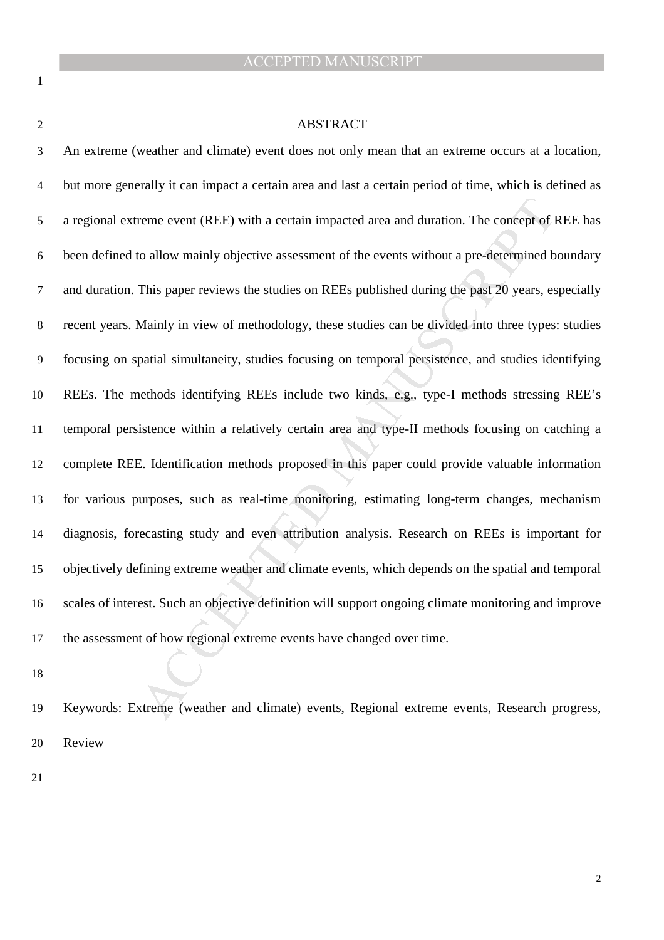#### ABSTRACT

reme event (REE) with a certain impacted area and duration. The concept of I<br>collow mainly objective assessment of the events without a pre-determined b<br>This paper reviews the studies on REEs published during the past 20 y An extreme (weather and climate) event does not only mean that an extreme occurs at a location, but more generally it can impact a certain area and last a certain period of time, which is defined as a regional extreme event (REE) with a certain impacted area and duration. The concept of REE has been defined to allow mainly objective assessment of the events without a pre-determined boundary and duration. This paper reviews the studies on REEs published during the past 20 years, especially recent years. Mainly in view of methodology, these studies can be divided into three types: studies focusing on spatial simultaneity, studies focusing on temporal persistence, and studies identifying REEs. The methods identifying REEs include two kinds, e.g., type-I methods stressing REE's temporal persistence within a relatively certain area and type-II methods focusing on catching a complete REE. Identification methods proposed in this paper could provide valuable information for various purposes, such as real-time monitoring, estimating long-term changes, mechanism diagnosis, forecasting study and even attribution analysis. Research on REEs is important for objectively defining extreme weather and climate events, which depends on the spatial and temporal scales of interest. Such an objective definition will support ongoing climate monitoring and improve the assessment of how regional extreme events have changed over time.

Keywords: Extreme (weather and climate) events, Regional extreme events, Research progress, Review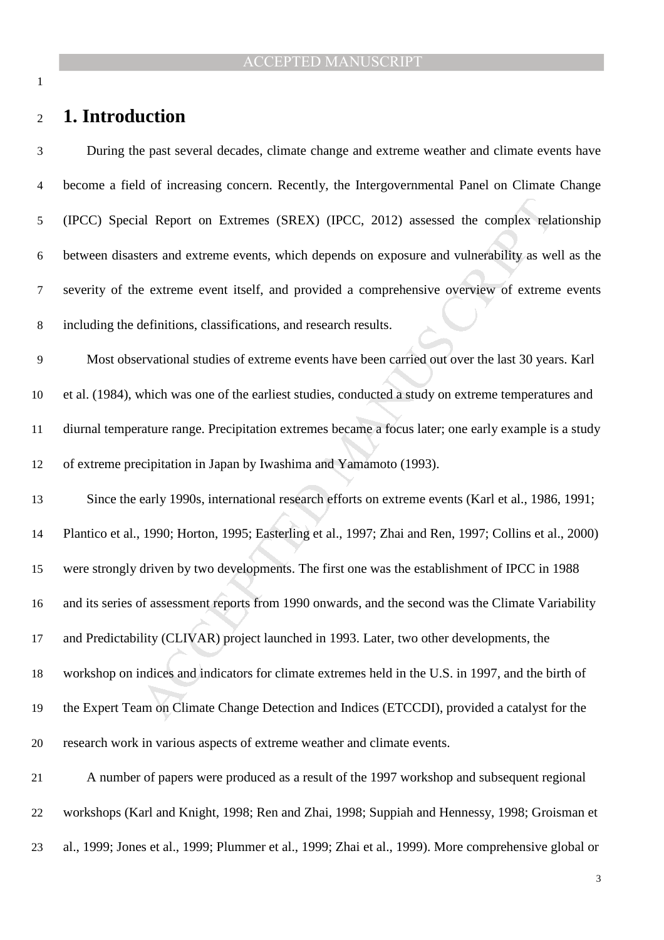# **1. Introduction**

| 3              | During the past several decades, climate change and extreme weather and climate events have             |
|----------------|---------------------------------------------------------------------------------------------------------|
| $\overline{4}$ | become a field of increasing concern. Recently, the Intergovernmental Panel on Climate Change           |
| 5              | (IPCC) Special Report on Extremes (SREX) (IPCC, 2012) assessed the complex relationship                 |
| 6              | between disasters and extreme events, which depends on exposure and vulnerability as well as the        |
| $\tau$         | severity of the extreme event itself, and provided a comprehensive overview of extreme events           |
| $8\,$          | including the definitions, classifications, and research results.                                       |
| $\overline{9}$ | Most observational studies of extreme events have been carried out over the last 30 years. Karl         |
| 10             | et al. (1984), which was one of the earliest studies, conducted a study on extreme temperatures and     |
| 11             | diurnal temperature range. Precipitation extremes became a focus later; one early example is a study    |
| 12             | of extreme precipitation in Japan by Iwashima and Yamamoto (1993).                                      |
| 13             | Since the early 1990s, international research efforts on extreme events (Karl et al., 1986, 1991;       |
| 14             | Plantico et al., 1990; Horton, 1995; Easterling et al., 1997; Zhai and Ren, 1997; Collins et al., 2000) |
| 15             | were strongly driven by two developments. The first one was the establishment of IPCC in 1988           |
| 16             | and its series of assessment reports from 1990 onwards, and the second was the Climate Variability      |
| 17             | and Predictability (CLIVAR) project launched in 1993. Later, two other developments, the                |
| 18             | workshop on indices and indicators for climate extremes held in the U.S. in 1997, and the birth of      |
| 19             | the Expert Team on Climate Change Detection and Indices (ETCCDI), provided a catalyst for the           |
| 20             | research work in various aspects of extreme weather and climate events.                                 |
| 21             | A number of papers were produced as a result of the 1997 workshop and subsequent regional               |
| 22             | workshops (Karl and Knight, 1998; Ren and Zhai, 1998; Suppiah and Hennessy, 1998; Groisman et           |
| 23             | al., 1999; Jones et al., 1999; Plummer et al., 1999; Zhai et al., 1999). More comprehensive global or   |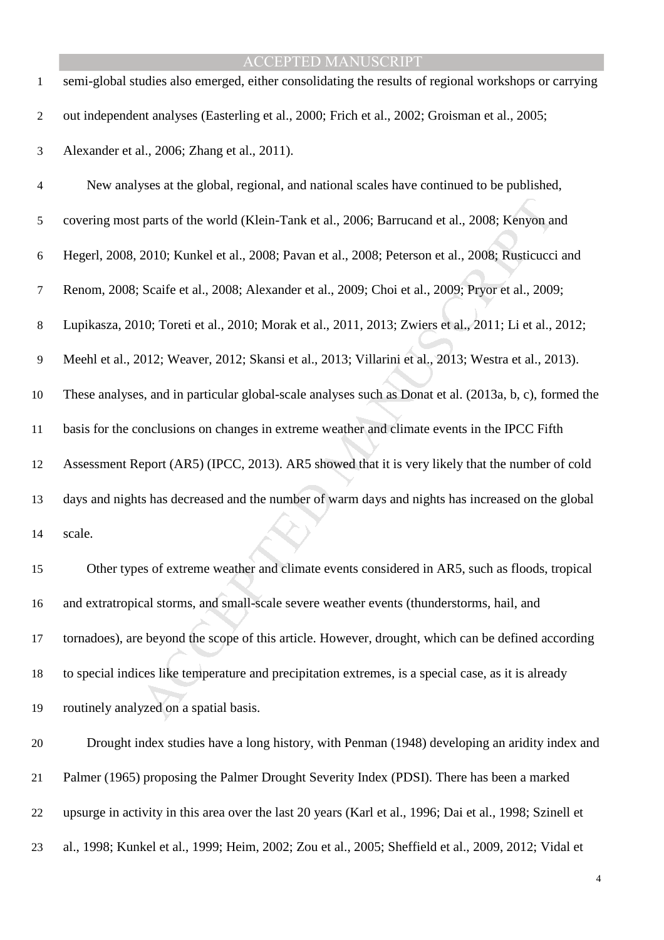| $\mathbf{1}$   | semi-global studies also emerged, either consolidating the results of regional workshops or carrying   |
|----------------|--------------------------------------------------------------------------------------------------------|
| 2              | out independent analyses (Easterling et al., 2000; Frich et al., 2002; Groisman et al., 2005;          |
| 3              | Alexander et al., 2006; Zhang et al., 2011).                                                           |
| $\overline{4}$ | New analyses at the global, regional, and national scales have continued to be published,              |
| 5              | covering most parts of the world (Klein-Tank et al., 2006; Barrucand et al., 2008; Kenyon and          |
| 6              | Hegerl, 2008, 2010; Kunkel et al., 2008; Pavan et al., 2008; Peterson et al., 2008; Rusticucci and     |
| $\tau$         | Renom, 2008; Scaife et al., 2008; Alexander et al., 2009; Choi et al., 2009; Pryor et al., 2009;       |
| 8              | Lupikasza, 2010; Toreti et al., 2010; Morak et al., 2011, 2013; Zwiers et al., 2011; Li et al., 2012;  |
| 9              | Meehl et al., 2012; Weaver, 2012; Skansi et al., 2013; Villarini et al., 2013; Westra et al., 2013).   |
| 10             | These analyses, and in particular global-scale analyses such as Donat et al. (2013a, b, c), formed the |
| 11             | basis for the conclusions on changes in extreme weather and climate events in the IPCC Fifth           |
| 12             | Assessment Report (AR5) (IPCC, 2013). AR5 showed that it is very likely that the number of cold        |
| 13             | days and nights has decreased and the number of warm days and nights has increased on the global       |
| 14             | scale.                                                                                                 |
| 15             | Other types of extreme weather and climate events considered in AR5, such as floods, tropical          |
| 16             | and extratropical storms, and small-scale severe weather events (thunderstorms, hail, and              |
| 17             | tornadoes), are beyond the scope of this article. However, drought, which can be defined according     |
| 18             | to special indices like temperature and precipitation extremes, is a special case, as it is already    |
| 19             | routinely analyzed on a spatial basis.                                                                 |
| 20             | Drought index studies have a long history, with Penman (1948) developing an aridity index and          |
| 21             | Palmer (1965) proposing the Palmer Drought Severity Index (PDSI). There has been a marked              |

upsurge in activity in this area over the last 20 years (Karl et al., 1996; Dai et al., 1998; Szinell et

al., 1998; Kunkel et al., 1999; Heim, 2002; Zou et al., 2005; Sheffield et al., 2009, 2012; Vidal et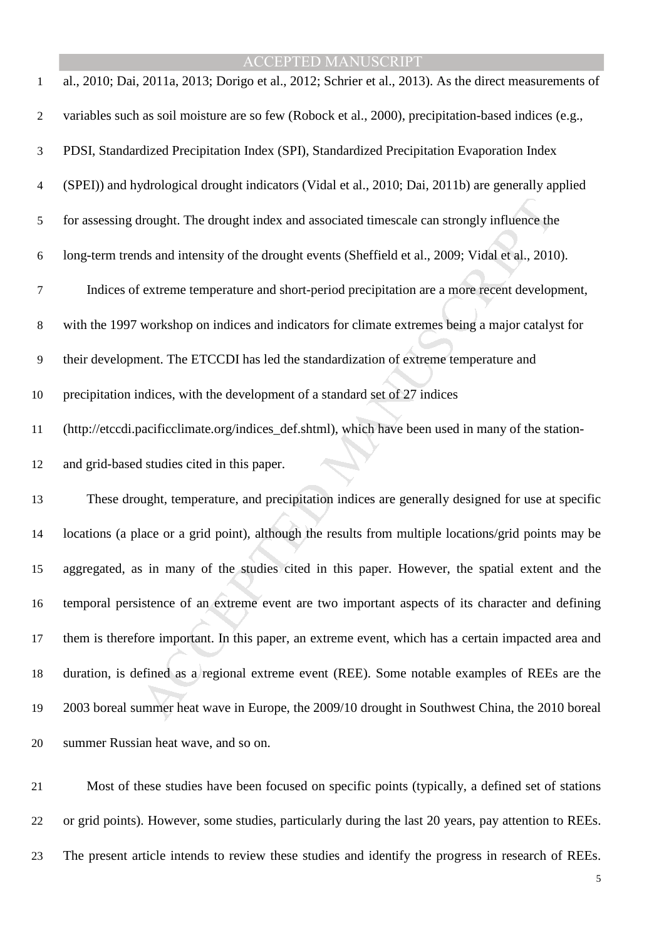| $\mathbf{1}$     | al., 2010; Dai, 2011a, 2013; Dorigo et al., 2012; Schrier et al., 2013). As the direct measurements of |
|------------------|--------------------------------------------------------------------------------------------------------|
| $\boldsymbol{2}$ | variables such as soil moisture are so few (Robock et al., 2000), precipitation-based indices (e.g.,   |
| 3                | PDSI, Standardized Precipitation Index (SPI), Standardized Precipitation Evaporation Index             |
| 4                | (SPEI)) and hydrological drought indicators (Vidal et al., 2010; Dai, 2011b) are generally applied     |
| 5                | for assessing drought. The drought index and associated timescale can strongly influence the           |
| 6                | long-term trends and intensity of the drought events (Sheffield et al., 2009; Vidal et al., 2010).     |
| $\tau$           | Indices of extreme temperature and short-period precipitation are a more recent development,           |
| 8                | with the 1997 workshop on indices and indicators for climate extremes being a major catalyst for       |
| 9                | their development. The ETCCDI has led the standardization of extreme temperature and                   |
| 10               | precipitation indices, with the development of a standard set of 27 indices                            |
| 11               | (http://etccdi.pacificclimate.org/indices_def.shtml), which have been used in many of the station-     |
| 12               | and grid-based studies cited in this paper.                                                            |
| 13               | These drought, temperature, and precipitation indices are generally designed for use at specific       |
| 14               | locations (a place or a grid point), although the results from multiple locations/grid points may be   |
| 15               | aggregated, as in many of the studies cited in this paper. However, the spatial extent and the         |
| 16               | temporal persistence of an extreme event are two important aspects of its character and defining       |
| 17               | them is therefore important. In this paper, an extreme event, which has a certain impacted area and    |
| 18               | duration, is defined as a regional extreme event (REE). Some notable examples of REEs are the          |
| 19               | 2003 boreal summer heat wave in Europe, the 2009/10 drought in Southwest China, the 2010 boreal        |
| 20               | summer Russian heat wave, and so on.                                                                   |
|                  |                                                                                                        |

Most of these studies have been focused on specific points (typically, a defined set of stations or grid points). However, some studies, particularly during the last 20 years, pay attention to REEs. The present article intends to review these studies and identify the progress in research of REEs.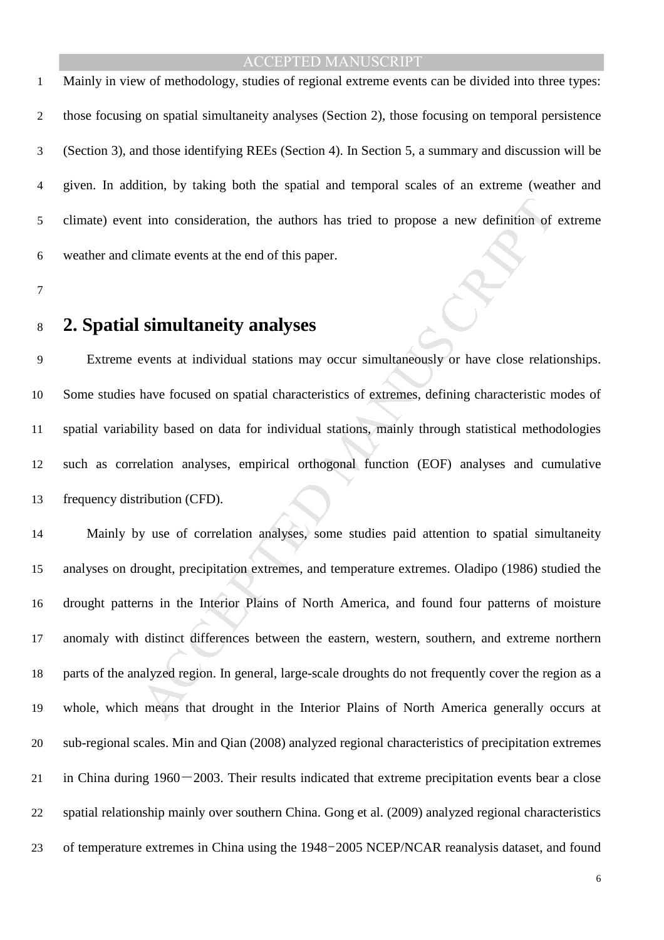Mainly in view of methodology, studies of regional extreme events can be divided into three types: those focusing on spatial simultaneity analyses (Section 2), those focusing on temporal persistence (Section 3), and those identifying REEs (Section 4). In Section 5, a summary and discussion will be given. In addition, by taking both the spatial and temporal scales of an extreme (weather and climate) event into consideration, the authors has tried to propose a new definition of extreme weather and climate events at the end of this paper.

# **2. Spatial simultaneity analyses**

Extreme events at individual stations may occur simultaneously or have close relationships. Some studies have focused on spatial characteristics of extremes, defining characteristic modes of spatial variability based on data for individual stations, mainly through statistical methodologies such as correlation analyses, empirical orthogonal function (EOF) analyses and cumulative frequency distribution (CFD).

It into consideration, the authors has tried to propose a new definition of<br>
limate events at the end of this paper.<br> **Simultaneity analyses**<br>
events at individual stations may occur simultaneously or have close relation<br> Mainly by use of correlation analyses, some studies paid attention to spatial simultaneity analyses on drought, precipitation extremes, and temperature extremes. Oladipo (1986) studied the drought patterns in the Interior Plains of North America, and found four patterns of moisture anomaly with distinct differences between the eastern, western, southern, and extreme northern parts of the analyzed region. In general, large-scale droughts do not frequently cover the region as a whole, which means that drought in the Interior Plains of North America generally occurs at sub-regional scales. Min and Qian (2008) analyzed regional characteristics of precipitation extremes 21 in China during  $1960 - 2003$ . Their results indicated that extreme precipitation events bear a close spatial relationship mainly over southern China. Gong et al. (2009) analyzed regional characteristics of temperature extremes in China using the 1948-2005 NCEP/NCAR reanalysis dataset, and found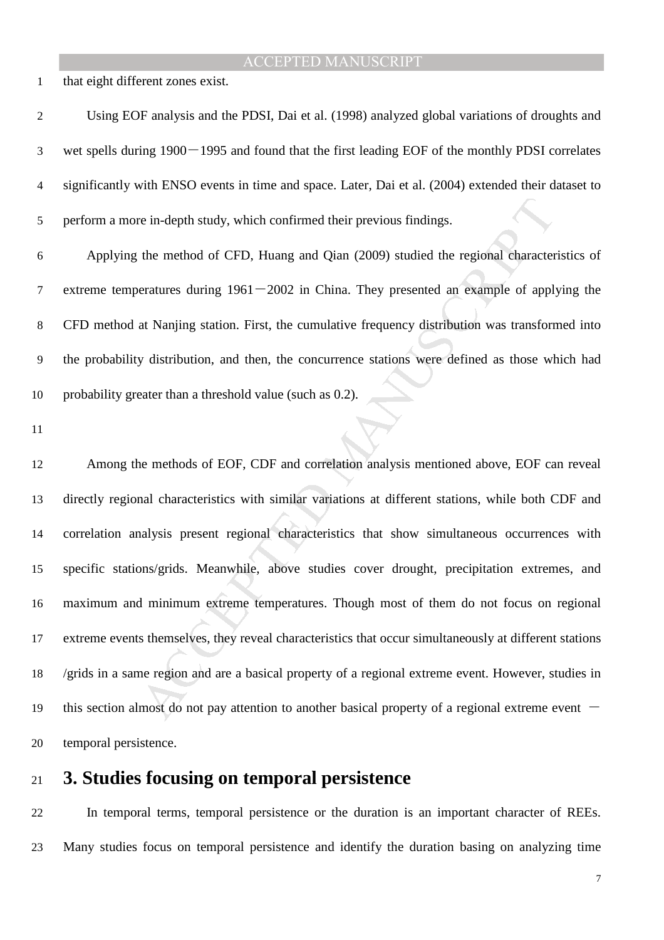that eight different zones exist.

| $\overline{2}$ | Using EOF analysis and the PDSI, Dai et al. (1998) analyzed global variations of droughts and          |
|----------------|--------------------------------------------------------------------------------------------------------|
| 3              | wet spells during $1900 - 1995$ and found that the first leading EOF of the monthly PDSI correlates    |
| 4              | significantly with ENSO events in time and space. Later, Dai et al. (2004) extended their dataset to   |
| 5              | perform a more in-depth study, which confirmed their previous findings.                                |
| 6              | Applying the method of CFD, Huang and Qian (2009) studied the regional characteristics of              |
| 7              | extreme temperatures during $1961 - 2002$ in China. They presented an example of applying the          |
| 8              | CFD method at Nanjing station. First, the cumulative frequency distribution was transformed into       |
| 9              | the probability distribution, and then, the concurrence stations were defined as those which had       |
| 10             | probability greater than a threshold value (such as 0.2).                                              |
|                |                                                                                                        |
| 11             |                                                                                                        |
| 12             | Among the methods of EOF, CDF and correlation analysis mentioned above, EOF can reveal                 |
| 13             | directly regional characteristics with similar variations at different stations, while both CDF and    |
| 14             | correlation analysis present regional characteristics that show simultaneous occurrences with          |
| 15             | specific stations/grids. Meanwhile, above studies cover drought, precipitation extremes, and           |
| 16             | maximum and minimum extreme temperatures. Though most of them do not focus on regional                 |
| 17             | extreme events themselves, they reveal characteristics that occur simultaneously at different stations |
| 18             | /grids in a same region and are a basical property of a regional extreme event. However, studies in    |

specific stations/grids. Meanwhile, above studies cover drought, precipitation extremes, and maximum and minimum extreme temperatures. Though most of them do not focus on regional extreme events themselves, they reveal characteristics that occur simultaneously at different stations /grids in a same region and are a basical property of a regional extreme event. However, studies in 19 this section almost do not pay attention to another basical property of a regional extreme event  $-$ temporal persistence.

# **3. Studies focusing on temporal persistence**

In temporal terms, temporal persistence or the duration is an important character of REEs. Many studies focus on temporal persistence and identify the duration basing on analyzing time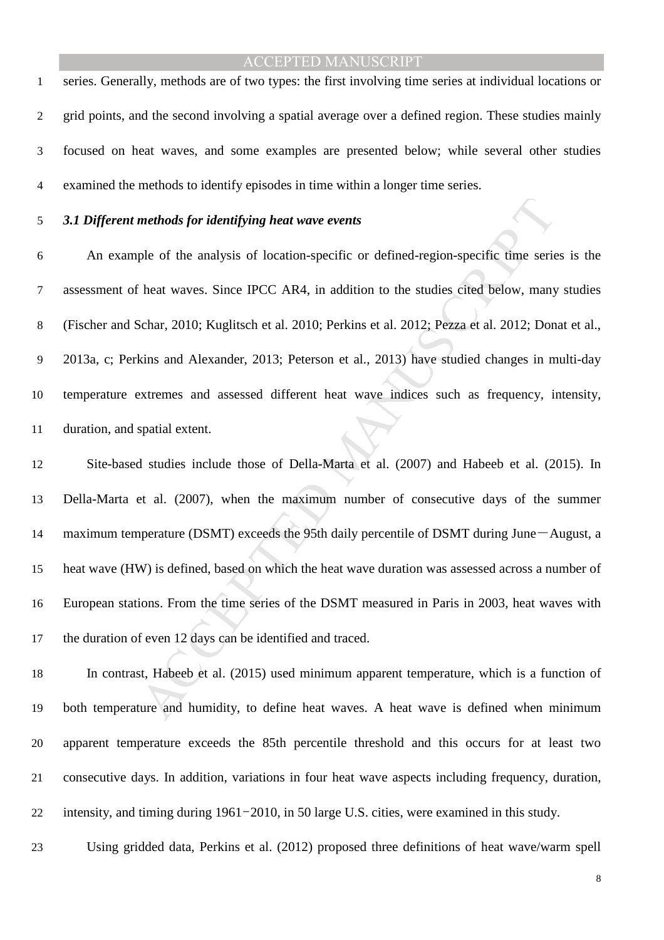series. Generally, methods are of two types: the first involving time series at individual locations or grid points, and the second involving a spatial average over a defined region. These studies mainly focused on heat waves, and some examples are presented below; while several other studies examined the methods to identify episodes in time within a longer time series.

#### *3.1 Different methods for identifying heat wave events*

methods for identifying heat wave events<br>ple of the analysis of location-specific or defined-region-specific time series<br>heat waves. Since IPCC AR4, in addition to the studies cited below, many<br>schar, 2010; Kuglitsch et al An example of the analysis of location-specific or defined-region-specific time series is the assessment of heat waves. Since IPCC AR4, in addition to the studies cited below, many studies (Fischer and Schar, 2010; Kuglitsch et al. 2010; Perkins et al. 2012; Pezza et al. 2012; Donat et al., 2013a, c; Perkins and Alexander, 2013; Peterson et al., 2013) have studied changes in multi-day temperature extremes and assessed different heat wave indices such as frequency, intensity, duration, and spatial extent.

Site-based studies include those of Della-Marta et al. (2007) and Habeeb et al. (2015). In Della-Marta et al. (2007), when the maximum number of consecutive days of the summer 14 maximum temperature (DSMT) exceeds the 95th daily percentile of DSMT during June-August, a heat wave (HW) is defined, based on which the heat wave duration was assessed across a number of European stations. From the time series of the DSMT measured in Paris in 2003, heat waves with the duration of even 12 days can be identified and traced.

In contrast, Habeeb et al. (2015) used minimum apparent temperature, which is a function of both temperature and humidity, to define heat waves. A heat wave is defined when minimum apparent temperature exceeds the 85th percentile threshold and this occurs for at least two consecutive days. In addition, variations in four heat wave aspects including frequency, duration, intensity, and timing during 1961-2010, in 50 large U.S. cities, were examined in this study.

Using gridded data, Perkins et al. (2012) proposed three definitions of heat wave/warm spell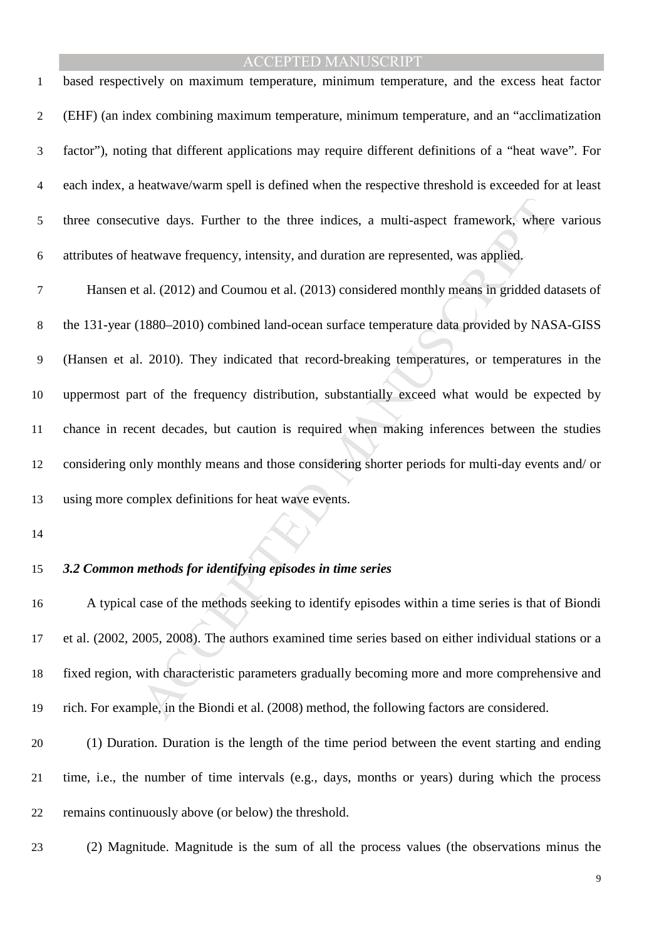based respectively on maximum temperature, minimum temperature, and the excess heat factor (EHF) (an index combining maximum temperature, minimum temperature, and an "acclimatization factor"), noting that different applications may require different definitions of a "heat wave". For each index, a heatwave/warm spell is defined when the respective threshold is exceeded for at least three consecutive days. Further to the three indices, a multi-aspect framework, where various attributes of heatwave frequency, intensity, and duration are represented, was applied.

tive days. Further to the three indices, a multi-aspect framework, where<br>eatwave frequency, intensity, and duration are represented, was applied,<br>tal. (2012) and Coumou et al. (2013) considered monthly means in gridded da<br> Hansen et al. (2012) and Coumou et al. (2013) considered monthly means in gridded datasets of the 131-year (1880–2010) combined land-ocean surface temperature data provided by NASA-GISS (Hansen et al. 2010). They indicated that record-breaking temperatures, or temperatures in the uppermost part of the frequency distribution, substantially exceed what would be expected by chance in recent decades, but caution is required when making inferences between the studies considering only monthly means and those considering shorter periods for multi-day events and/ or using more complex definitions for heat wave events.

#### *3.2 Common methods for identifying episodes in time series*

A typical case of the methods seeking to identify episodes within a time series is that of Biondi et al. (2002, 2005, 2008). The authors examined time series based on either individual stations or a fixed region, with characteristic parameters gradually becoming more and more comprehensive and rich. For example, in the Biondi et al. (2008) method, the following factors are considered.

(1) Duration. Duration is the length of the time period between the event starting and ending time, i.e., the number of time intervals (e.g., days, months or years) during which the process remains continuously above (or below) the threshold.

(2) Magnitude. Magnitude is the sum of all the process values (the observations minus the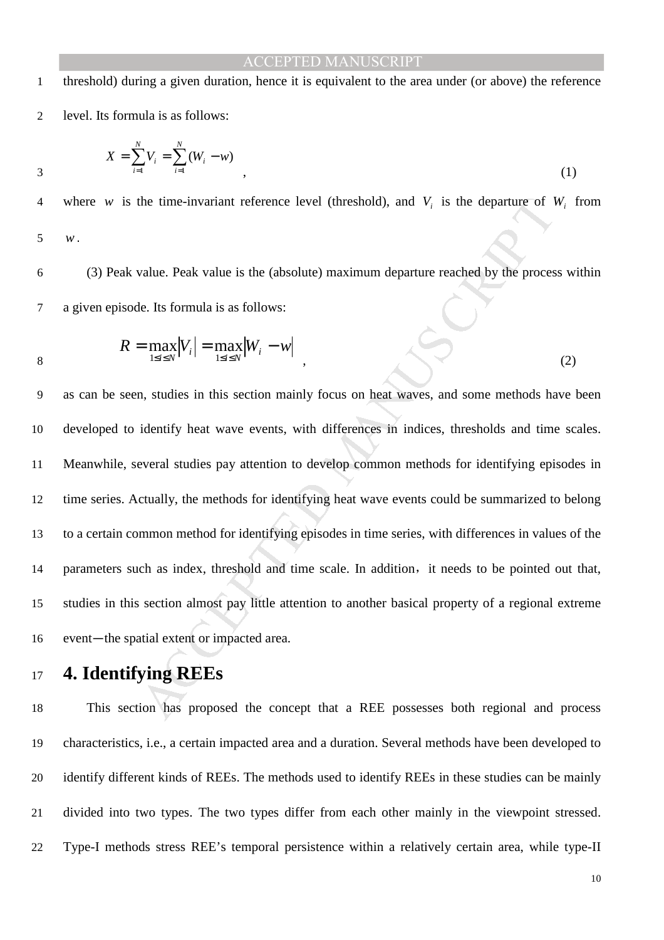1 threshold) during a given duration, hence it is equivalent to the area under (or above) the reference 2 level. Its formula is as follows:

$$
X = \sum_{i=1}^{N} V_i = \sum_{i=1}^{N} (W_i - w)
$$
\n(1)

4 where *w* is the time-invariant reference level (threshold), and  $V_i$  is the departure of  $W_i$  from

5 *w*.

6 (3) Peak value. Peak value is the (absolute) maximum departure reached by the process within 7 a given episode. Its formula is as follows:

$$
R = \max_{1 \le i \le N} |V_i| = \max_{1 \le i \le N} |W_i - w| \tag{2}
$$

the time-invariant reference level (threshold), and  $V_i$  is the departure of 1<br>value. Peak value is the (absolute) maximum departure reached by the proces<br>le. Its formula is as follows:<br> $= \max_{1 \le i \le N} |V_i| = \max_{1 \le i \le N} |W_i - w|$ as can be seen, studies in this section mainly focus on heat waves, and some methods have been developed to identify heat wave events, with differences in indices, thresholds and time scales. Meanwhile, several studies pay attention to develop common methods for identifying episodes in time series. Actually, the methods for identifying heat wave events could be summarized to belong to a certain common method for identifying episodes in time series, with differences in values of the 14 parameters such as index, threshold and time scale. In addition, it needs to be pointed out that, studies in this section almost pay little attention to another basical property of a regional extreme 16 event—the spatial extent or impacted area.

## <sup>17</sup>**4. Identifying REEs**

This section has proposed the concept that a REE possesses both regional and process characteristics, i.e., a certain impacted area and a duration. Several methods have been developed to identify different kinds of REEs. The methods used to identify REEs in these studies can be mainly divided into two types. The two types differ from each other mainly in the viewpoint stressed. Type-I methods stress REE's temporal persistence within a relatively certain area, while type-II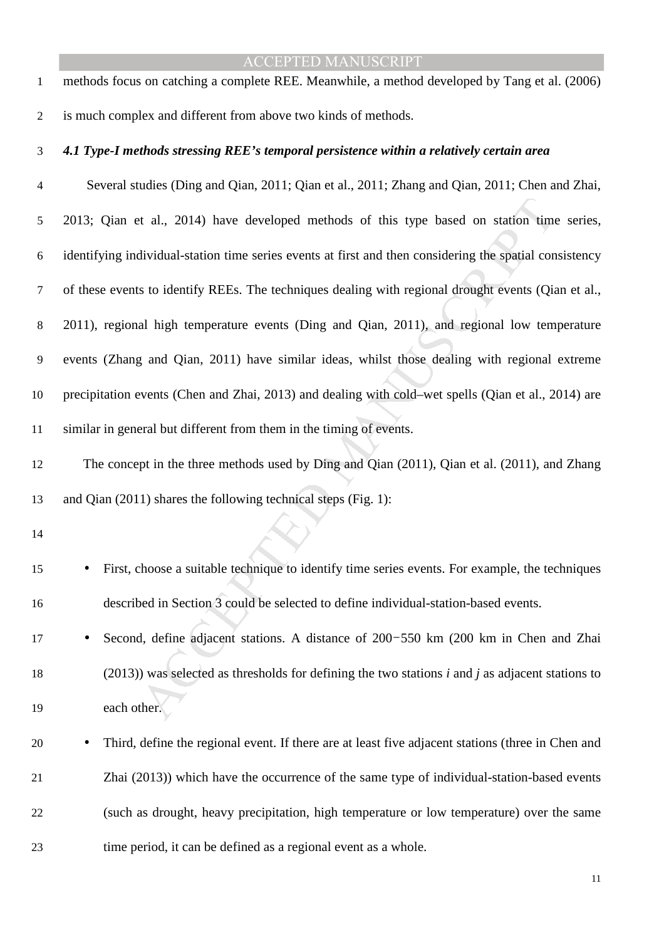methods focus on catching a complete REE. Meanwhile, a method developed by Tang et al. (2006) is much complex and different from above two kinds of methods.

#### *4.1 Type-I methods stressing REE's temporal persistence within a relatively certain area*

et al., 2014) have developed methods of this type based on station time<br>dividual-station time series events at first and then considering the spatial con<br>s to identify REEs. The techniques dealing with regional drought eve Several studies (Ding and Qian, 2011; Qian et al., 2011; Zhang and Qian, 2011; Chen and Zhai, 2013; Qian et al., 2014) have developed methods of this type based on station time series, identifying individual-station time series events at first and then considering the spatial consistency of these events to identify REEs. The techniques dealing with regional drought events (Qian et al., 2011), regional high temperature events (Ding and Qian, 2011), and regional low temperature events (Zhang and Qian, 2011) have similar ideas, whilst those dealing with regional extreme precipitation events (Chen and Zhai, 2013) and dealing with cold–wet spells (Qian et al., 2014) are similar in general but different from them in the timing of events.

The concept in the three methods used by Ding and Qian (2011), Qian et al. (2011), and Zhang and Qian (2011) shares the following technical steps (Fig. 1):

• First, choose a suitable technique to identify time series events. For example, the techniques described in Section 3 could be selected to define individual-station-based events.

- Second, define adjacent stations. A distance of 200-550 km (200 km in Chen and Zhai (2013)) was selected as thresholds for defining the two stations *i* and *j* as adjacent stations to each other.
- Third, define the regional event. If there are at least five adjacent stations (three in Chen and Zhai (2013)) which have the occurrence of the same type of individual-station-based events (such as drought, heavy precipitation, high temperature or low temperature) over the same time period, it can be defined as a regional event as a whole.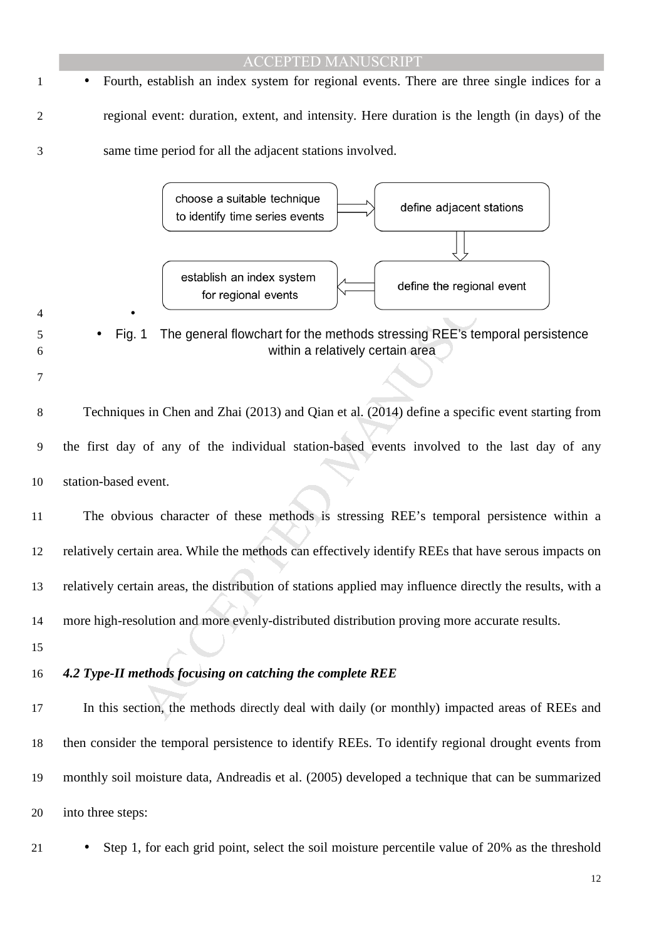# The general flowchart for the methods stressing REE's temporal events<br>
The general flowchart for the methods stressing REE's temporal event<br>
1 The general flowchart for the methods stressing REE's temporal persis<br>
within a ACCEPTED MANUSCRIPT • Fourth, establish an index system for regional events. There are three single indices for a regional event: duration, extent, and intensity. Here duration is the length (in days) of the same time period for all the adjacent stations involved. • • Fig. 1 The general flowchart for the methods stressing REE's temporal persistence within a relatively certain area Techniques in Chen and Zhai (2013) and Qian et al. (2014) define a specific event starting from the first day of any of the individual station-based events involved to the last day of any station-based event. The obvious character of these methods is stressing REE's temporal persistence within a relatively certain area. While the methods can effectively identify REEs that have serous impacts on relatively certain areas, the distribution of stations applied may influence directly the results, with a more high-resolution and more evenly-distributed distribution proving more accurate results. *4.2 Type-II methods focusing on catching the complete REE*  In this section, the methods directly deal with daily (or monthly) impacted areas of REEs and then consider the temporal persistence to identify REEs. To identify regional drought events from monthly soil moisture data, Andreadis et al. (2005) developed a technique that can be summarized into three steps:

<sup>21</sup> • Step 1, for each grid point, select the soil moisture percentile value of 20% as the threshold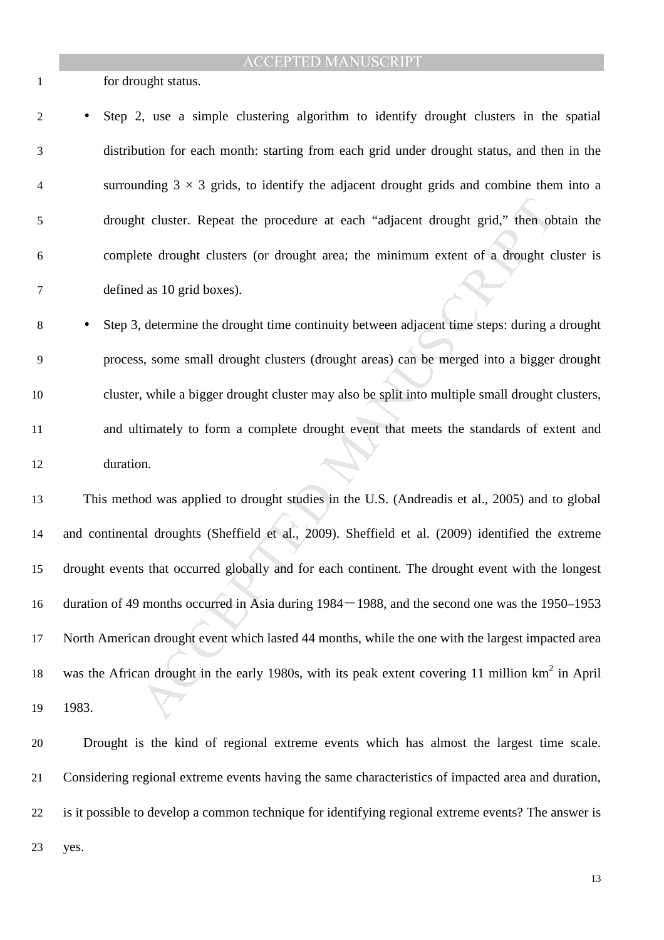for drought status.

• Step 2, use a simple clustering algorithm to identify drought clusters in the spatial distribution for each month: starting from each grid under drought status, and then in the 4 surrounding  $3 \times 3$  grids, to identify the adjacent drought grids and combine them into a drought cluster. Repeat the procedure at each "adjacent drought grid," then obtain the complete drought clusters (or drought area; the minimum extent of a drought cluster is defined as 10 grid boxes).

• Step 3, determine the drought time continuity between adjacent time steps: during a drought process, some small drought clusters (drought areas) can be merged into a bigger drought cluster, while a bigger drought cluster may also be split into multiple small drought clusters, and ultimately to form a complete drought event that meets the standards of extent and duration.

at cluster. Repeat the procedure at each "adjacent drought grid," then obte drought clusters (or drought area; the minimum extent of a drought c d as 10 grid boxes).<br>
determine the drought time continuity between adjacent This method was applied to drought studies in the U.S. (Andreadis et al., 2005) and to global and continental droughts (Sheffield et al., 2009). Sheffield et al. (2009) identified the extreme drought events that occurred globally and for each continent. The drought event with the longest duration of 49 months occurred in Asia during 1984-1988, and the second one was the 1950–1953 North American drought event which lasted 44 months, while the one with the largest impacted area 18 was the African drought in the early 1980s, with its peak extent covering 11 million  $km^2$  in April 1983.

Drought is the kind of regional extreme events which has almost the largest time scale. Considering regional extreme events having the same characteristics of impacted area and duration, is it possible to develop a common technique for identifying regional extreme events? The answer is yes.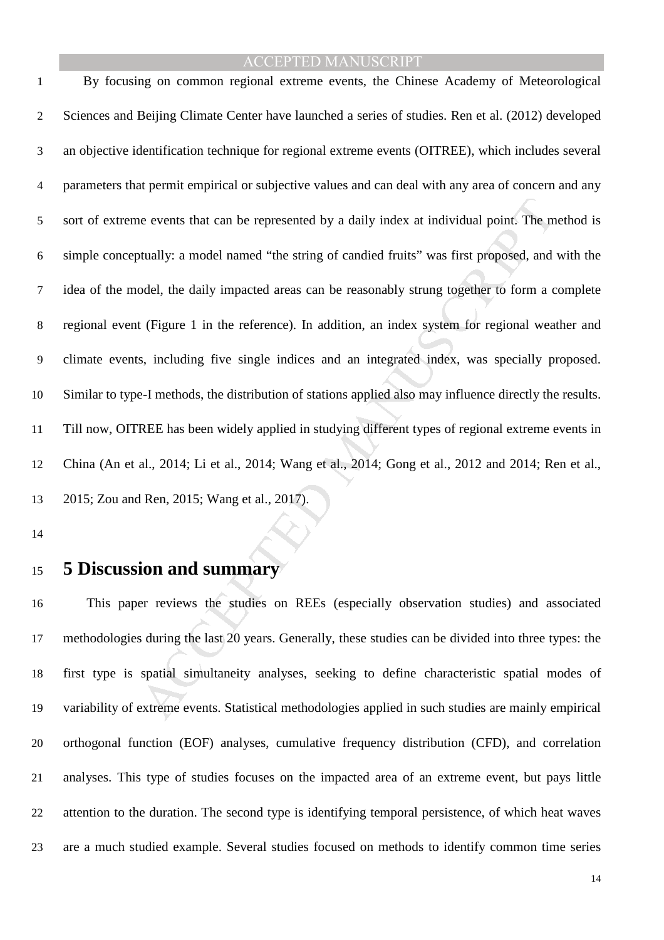ie events that can be represented by a daily index at individual point. The m<br>tually: a model named "the string of candied fruits" was first proposed, and<br>odel, the daily impacted areas can be reasonably strung together to By focusing on common regional extreme events, the Chinese Academy of Meteorological Sciences and Beijing Climate Center have launched a series of studies. Ren et al. (2012) developed an objective identification technique for regional extreme events (OITREE), which includes several parameters that permit empirical or subjective values and can deal with any area of concern and any sort of extreme events that can be represented by a daily index at individual point. The method is simple conceptually: a model named "the string of candied fruits" was first proposed, and with the idea of the model, the daily impacted areas can be reasonably strung together to form a complete regional event (Figure 1 in the reference). In addition, an index system for regional weather and climate events, including five single indices and an integrated index, was specially proposed. Similar to type-I methods, the distribution of stations applied also may influence directly the results. Till now, OITREE has been widely applied in studying different types of regional extreme events in China (An et al., 2014; Li et al., 2014; Wang et al., 2014; Gong et al., 2012 and 2014; Ren et al., 2015; Zou and Ren, 2015; Wang et al., 2017).

## **5 Discussion and summary**

This paper reviews the studies on REEs (especially observation studies) and associated methodologies during the last 20 years. Generally, these studies can be divided into three types: the first type is spatial simultaneity analyses, seeking to define characteristic spatial modes of variability of extreme events. Statistical methodologies applied in such studies are mainly empirical orthogonal function (EOF) analyses, cumulative frequency distribution (CFD), and correlation analyses. This type of studies focuses on the impacted area of an extreme event, but pays little attention to the duration. The second type is identifying temporal persistence, of which heat waves are a much studied example. Several studies focused on methods to identify common time series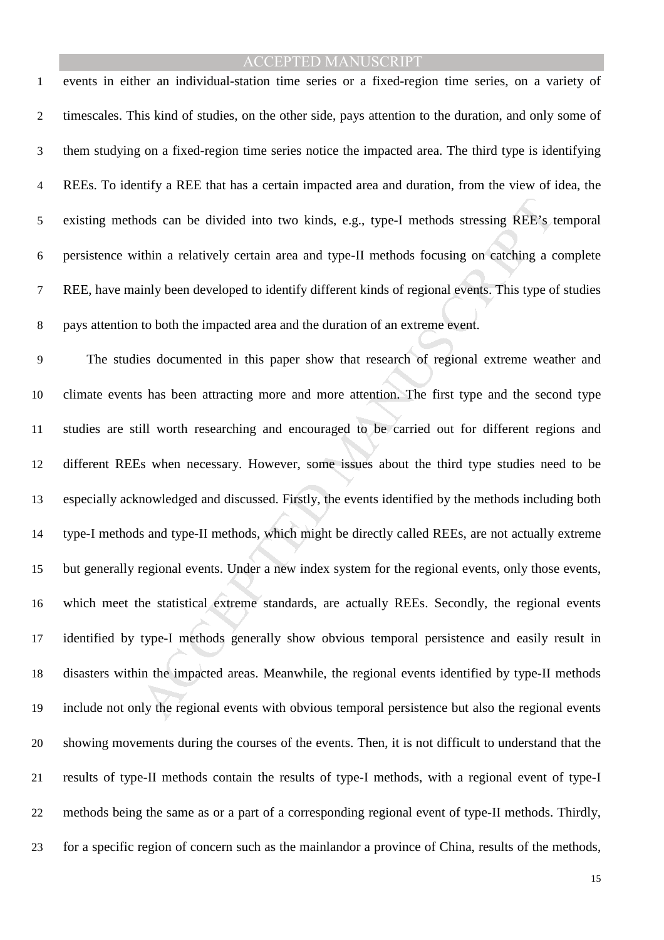events in either an individual-station time series or a fixed-region time series, on a variety of timescales. This kind of studies, on the other side, pays attention to the duration, and only some of them studying on a fixed-region time series notice the impacted area. The third type is identifying REEs. To identify a REE that has a certain impacted area and duration, from the view of idea, the existing methods can be divided into two kinds, e.g., type-I methods stressing REE's temporal persistence within a relatively certain area and type-II methods focusing on catching a complete REE, have mainly been developed to identify different kinds of regional events. This type of studies pays attention to both the impacted area and the duration of an extreme event.

ods can be divided into two kinds, e.g., type-I methods stressing REE's t<br>tithin a relatively certain area and type-II methods focusing on eatching a c<br>inly been developed to identify different kinds of regional events. Th The studies documented in this paper show that research of regional extreme weather and climate events has been attracting more and more attention. The first type and the second type studies are still worth researching and encouraged to be carried out for different regions and different REEs when necessary. However, some issues about the third type studies need to be especially acknowledged and discussed. Firstly, the events identified by the methods including both type-I methods and type-II methods, which might be directly called REEs, are not actually extreme but generally regional events. Under a new index system for the regional events, only those events, which meet the statistical extreme standards, are actually REEs. Secondly, the regional events identified by type-I methods generally show obvious temporal persistence and easily result in disasters within the impacted areas. Meanwhile, the regional events identified by type-II methods include not only the regional events with obvious temporal persistence but also the regional events showing movements during the courses of the events. Then, it is not difficult to understand that the results of type-II methods contain the results of type-I methods, with a regional event of type-I methods being the same as or a part of a corresponding regional event of type-II methods. Thirdly, for a specific region of concern such as the mainlandor a province of China, results of the methods,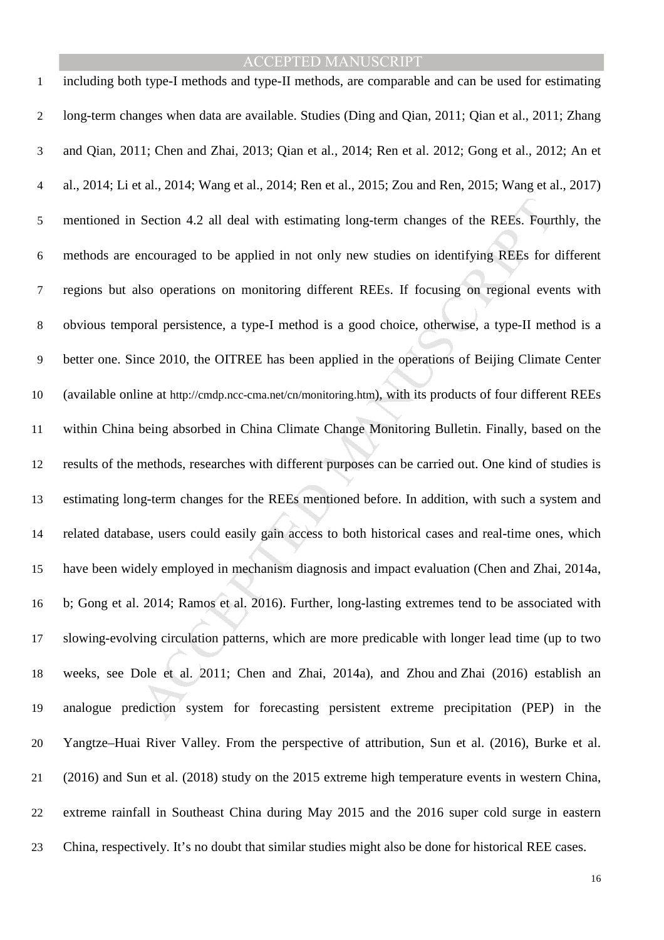Section 4.2 all deal with estimating long-term changes of the REEs. Fourncouraged to be applied in not only new studies on identifying REEs for the REEs or shower also operations on monitoring different REEs. If focusing o including both type-I methods and type-II methods, are comparable and can be used for estimating long-term changes when data are available. Studies (Ding and Qian, 2011; Qian et al., 2011; Zhang and Qian, 2011; Chen and Zhai, 2013; Qian et al., 2014; Ren et al. 2012; Gong et al., 2012; An et al., 2014; Li et al., 2014; Wang et al., 2014; Ren et al., 2015; Zou and Ren, 2015; Wang et al., 2017) mentioned in Section 4.2 all deal with estimating long-term changes of the REEs. Fourthly, the methods are encouraged to be applied in not only new studies on identifying REEs for different regions but also operations on monitoring different REEs. If focusing on regional events with obvious temporal persistence, a type-I method is a good choice, otherwise, a type-II method is a better one. Since 2010, the OITREE has been applied in the operations of Beijing Climate Center (available online at http://cmdp.ncc-cma.net/cn/monitoring.htm), with its products of four different REEs within China being absorbed in China Climate Change Monitoring Bulletin. Finally, based on the results of the methods, researches with different purposes can be carried out. One kind of studies is estimating long-term changes for the REEs mentioned before. In addition, with such a system and related database, users could easily gain access to both historical cases and real-time ones, which have been widely employed in mechanism diagnosis and impact evaluation (Chen and Zhai, 2014a, b; Gong et al. 2014; Ramos et al. 2016). Further, long-lasting extremes tend to be associated with slowing-evolving circulation patterns, which are more predicable with longer lead time (up to two weeks, see Dole et al. 2011; Chen and Zhai, 2014a), and Zhou and Zhai (2016) establish an analogue prediction system for forecasting persistent extreme precipitation (PEP) in the Yangtze–Huai River Valley. From the perspective of attribution, Sun et al. (2016), Burke et al. (2016) and Sun et al. (2018) study on the 2015 extreme high temperature events in western China, extreme rainfall in Southeast China during May 2015 and the 2016 super cold surge in eastern China, respectively. It's no doubt that similar studies might also be done for historical REE cases.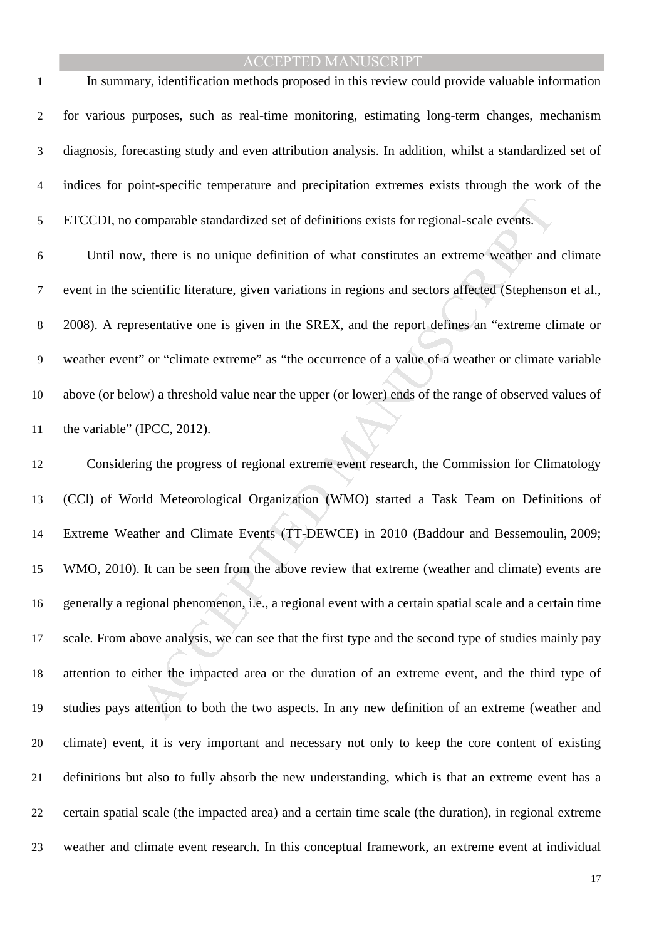In summary, identification methods proposed in this review could provide valuable information for various purposes, such as real-time monitoring, estimating long-term changes, mechanism diagnosis, forecasting study and even attribution analysis. In addition, whilst a standardized set of indices for point-specific temperature and precipitation extremes exists through the work of the ETCCDI, no comparable standardized set of definitions exists for regional-scale events.

Until now, there is no unique definition of what constitutes an extreme weather and climate event in the scientific literature, given variations in regions and sectors affected (Stephenson et al., 2008). A representative one is given in the SREX, and the report defines an "extreme climate or weather event" or "climate extreme" as "the occurrence of a value of a weather or climate variable above (or below) a threshold value near the upper (or lower) ends of the range of observed values of 11 the variable" (IPCC, 2012).

comparable standardized set of definitions exists for regional-scale events.<br>
Eventual contribution of what constitutes an extreme weather and<br>
cientific literature, given variations in regions and sectors affected (Stephe Considering the progress of regional extreme event research, the Commission for Climatology (CCl) of World Meteorological Organization (WMO) started a Task Team on Definitions of Extreme Weather and Climate Events (TT-DEWCE) in 2010 (Baddour and Bessemoulin, 2009; WMO, 2010). It can be seen from the above review that extreme (weather and climate) events are generally a regional phenomenon, i.e., a regional event with a certain spatial scale and a certain time scale. From above analysis, we can see that the first type and the second type of studies mainly pay attention to either the impacted area or the duration of an extreme event, and the third type of studies pays attention to both the two aspects. In any new definition of an extreme (weather and climate) event, it is very important and necessary not only to keep the core content of existing definitions but also to fully absorb the new understanding, which is that an extreme event has a certain spatial scale (the impacted area) and a certain time scale (the duration), in regional extreme weather and climate event research. In this conceptual framework, an extreme event at individual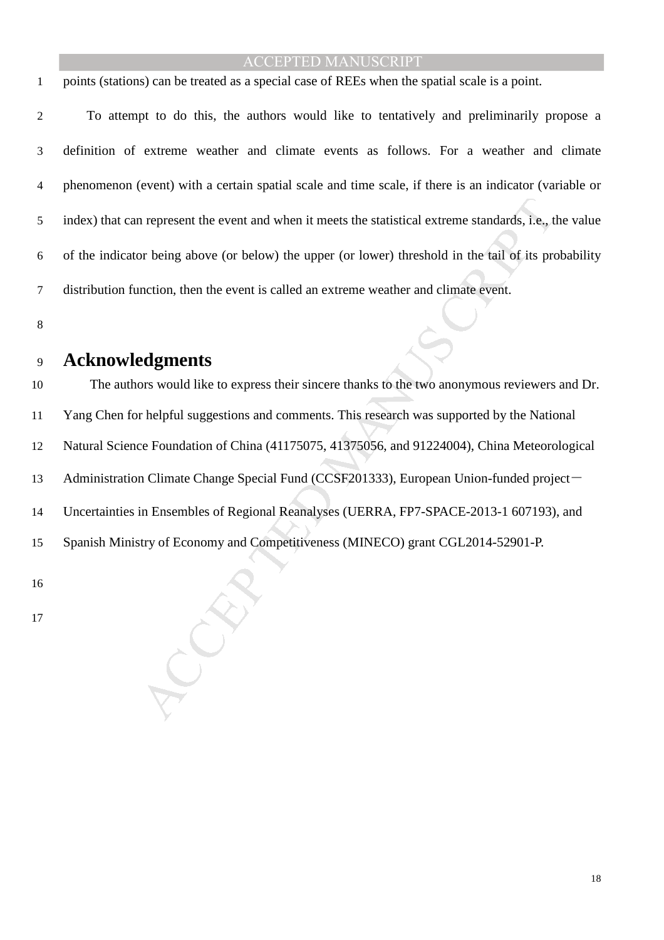points (stations) can be treated as a special case of REEs when the spatial scale is a point.

To attempt to do this, the authors would like to tentatively and preliminarily propose a definition of extreme weather and climate events as follows. For a weather and climate phenomenon (event) with a certain spatial scale and time scale, if there is an indicator (variable or index) that can represent the event and when it meets the statistical extreme standards, i.e., the value of the indicator being above (or below) the upper (or lower) threshold in the tail of its probability distribution function, then the event is called an extreme weather and climate event.

# **Acknowledgments**

In represent the event and when it meets the statistical extreme standards, i.e., the viend above (or below) the upper (or lower) threshold in the tail of its presention, then the event is called an extreme weather and cli The authors would like to express their sincere thanks to the two anonymous reviewers and Dr. Yang Chen for helpful suggestions and comments. This research was supported by the National Natural Science Foundation of China (41175075, 41375056, and 91224004), China Meteorological 13 Administration Climate Change Special Fund (CCSF201333), European Union-funded project-Uncertainties in Ensembles of Regional Reanalyses (UERRA, FP7-SPACE-2013-1 607193), and Spanish Ministry of Economy and Competitiveness (MINECO) grant CGL2014-52901-P.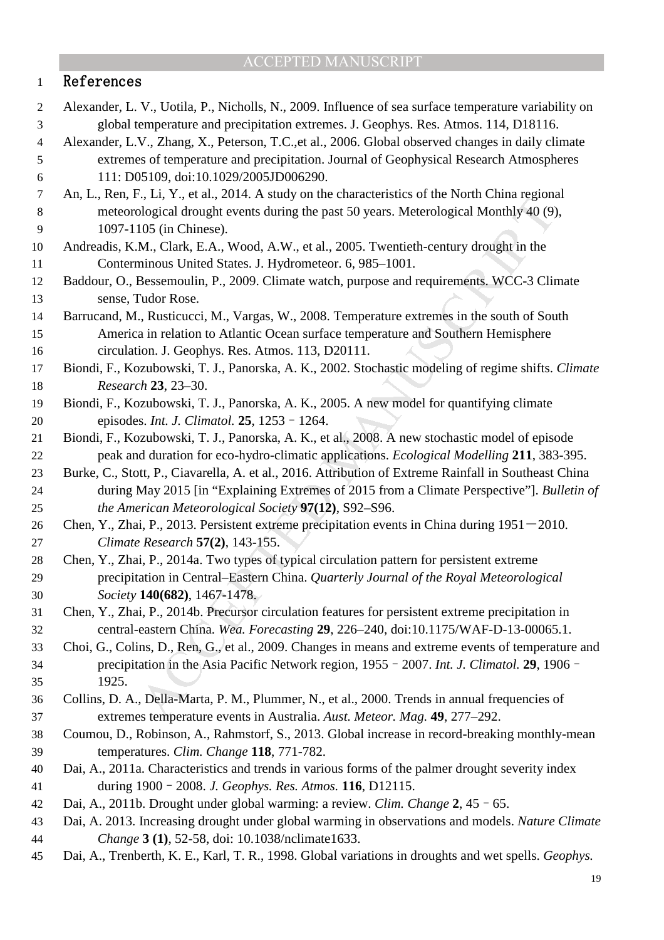## 1 References

- Alexander, L. V., Uotila, P., Nicholls, N., 2009. Influence of sea surface temperature variability on global temperature and precipitation extremes. J. Geophys. Res. Atmos. 114, D18116.
- Alexander, L.V., Zhang, X., Peterson, T.C.,et al., 2006. Global observed changes in daily climate extremes of temperature and precipitation. Journal of Geophysical Research Atmospheres 111: D05109, doi:10.1029/2005JD006290.
- An, L., Ren, F., Li, Y., et al., 2014. A study on the characteristics of the North China regional meteorological drought events during the past 50 years. Meterological Monthly 40 (9), 1097-1105 (in Chinese).
- Andreadis, K.M., Clark, E.A., Wood, A.W., et al., 2005. Twentieth-century drought in the Conterminous United States. J. Hydrometeor. 6, 985–1001.
- Baddour, O., Bessemoulin, P., 2009. Climate watch, purpose and requirements. WCC-3 Climate sense, Tudor Rose.
- Barrucand, M., Rusticucci, M., Vargas, W., 2008. Temperature extremes in the south of South America in relation to Atlantic Ocean surface temperature and Southern Hemisphere circulation. J. Geophys. Res. Atmos. 113, D20111.
- Biondi, F., Kozubowski, T. J., Panorska, A. K., 2002. Stochastic modeling of regime shifts. *Climate Research* **23**, 23–30.
- Biondi, F., Kozubowski, T. J., Panorska, A. K., 2005. A new model for quantifying climate episodes. *Int. J. Climatol.* **25**, 1253–1264.
- Biondi, F., Kozubowski, T. J., Panorska, A. K., et al., 2008. A new stochastic model of episode peak and duration for eco-hydro-climatic applications. *Ecological Modelling* **211**, 383-395.
- Burke, C., Stott, P., Ciavarella, A. et al., 2016. Attribution of Extreme Rainfall in Southeast China during May 2015 [in "Explaining Extremes of 2015 from a Climate Perspective"]. *Bulletin of the American Meteorological Society* **97(12)**, S92–S96.
- 26 Chen, Y., Zhai, P., 2013. Persistent extreme precipitation events in China during 1951-2010. *Climate Research* **57(2)**, 143-155.
- MANUSCRIPT ACCEPTED Chen, Y., Zhai, P., 2014a. Two types of typical circulation pattern for persistent extreme precipitation in Central–Eastern China. *Quarterly Journal of the Royal Meteorological Society* **140(682)**, 1467-1478.
- Chen, Y., Zhai, P., 2014b. Precursor circulation features for persistent extreme precipitation in central-eastern China. *Wea. Forecasting* **29**, 226–240, doi:10.1175/WAF-D-13-00065.1.
- Choi, G., Colins, D., Ren, G., et al., 2009. Changes in means and extreme events of temperature and precipitation in the Asia Pacific Network region, 1955–2007. *Int. J. Climatol.* **29**, 1906– 1925.
- Collins, D. A., Della-Marta, P. M., Plummer, N., et al., 2000. Trends in annual frequencies of extremes temperature events in Australia. *Aust. Meteor. Mag.* **49**, 277–292.
- Coumou, D., Robinson, A., Rahmstorf, S., 2013. Global increase in record-breaking monthly-mean temperatures. *Clim. Change* **118**, 771-782.
- Dai, A., 2011a. Characteristics and trends in various forms of the palmer drought severity index during 1900–2008. *J. Geophys. Res. Atmos.* **116**, D12115.
- Dai, A., 2011b. Drought under global warming: a review. *Clim. Change* **2**, 45–65.
- Dai, A. 2013. Increasing drought under global warming in observations and models. *Nature Climate Change* **3 (1)**, 52-58, doi: 10.1038/nclimate1633.
- Dai, A., Trenberth, K. E., Karl, T. R., 1998. Global variations in droughts and wet spells. *Geophys.*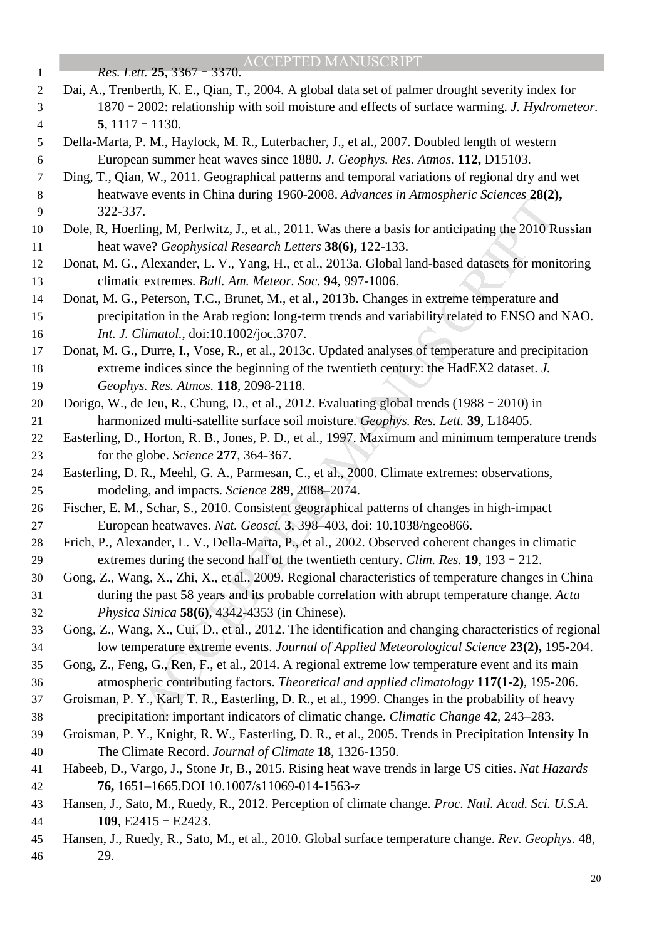| $\mathbf{1}$     | Res. Lett. 25, 3367 - 3370. ACCEPTED MANUSCRIPT                                                                                                                                                     |
|------------------|-----------------------------------------------------------------------------------------------------------------------------------------------------------------------------------------------------|
| $\overline{2}$   | Dai, A., Trenberth, K. E., Qian, T., 2004. A global data set of palmer drought severity index for                                                                                                   |
| 3                | 1870 - 2002: relationship with soil moisture and effects of surface warming. J. Hydrometeor.                                                                                                        |
| $\overline{4}$   | $5, 1117 - 1130.$                                                                                                                                                                                   |
| 5                | Della-Marta, P. M., Haylock, M. R., Luterbacher, J., et al., 2007. Doubled length of western                                                                                                        |
| $\boldsymbol{6}$ | European summer heat waves since 1880. J. Geophys. Res. Atmos. 112, D15103.                                                                                                                         |
| $\overline{7}$   | Ding, T., Qian, W., 2011. Geographical patterns and temporal variations of regional dry and wet                                                                                                     |
| 8                | heatwave events in China during 1960-2008. Advances in Atmospheric Sciences 28(2),                                                                                                                  |
| $\overline{9}$   | 322-337.                                                                                                                                                                                            |
| 10               | Dole, R, Hoerling, M, Perlwitz, J., et al., 2011. Was there a basis for anticipating the 2010 Russian                                                                                               |
| 11               | heat wave? Geophysical Research Letters 38(6), 122-133.                                                                                                                                             |
| 12               | Donat, M. G., Alexander, L. V., Yang, H., et al., 2013a. Global land-based datasets for monitoring                                                                                                  |
| 13               | climatic extremes. Bull. Am. Meteor. Soc. 94, 997-1006.                                                                                                                                             |
| 14               | Donat, M. G., Peterson, T.C., Brunet, M., et al., 2013b. Changes in extreme temperature and                                                                                                         |
| 15               | precipitation in the Arab region: long-term trends and variability related to ENSO and NAO.                                                                                                         |
| 16               | Int. J. Climatol., doi:10.1002/joc.3707.                                                                                                                                                            |
| 17               | Donat, M. G., Durre, I., Vose, R., et al., 2013c. Updated analyses of temperature and precipitation                                                                                                 |
| 18               | extreme indices since the beginning of the twentieth century: the HadEX2 dataset. J.                                                                                                                |
| 19               | Geophys. Res. Atmos. 118, 2098-2118.                                                                                                                                                                |
| 20               | Dorigo, W., de Jeu, R., Chung, D., et al., 2012. Evaluating global trends (1988 - 2010) in                                                                                                          |
| 21               | harmonized multi-satellite surface soil moisture. Geophys. Res. Lett. 39, L18405.                                                                                                                   |
| 22               | Easterling, D., Horton, R. B., Jones, P. D., et al., 1997. Maximum and minimum temperature trends                                                                                                   |
| 23               | for the globe. Science 277, 364-367.                                                                                                                                                                |
| 24               | Easterling, D. R., Meehl, G. A., Parmesan, C., et al., 2000. Climate extremes: observations,                                                                                                        |
| 25               | modeling, and impacts. Science 289, 2068–2074.                                                                                                                                                      |
| 26               | Fischer, E. M., Schar, S., 2010. Consistent geographical patterns of changes in high-impact                                                                                                         |
| 27               | European heatwaves. Nat. Geosci. 3, 398-403, doi: 10.1038/ngeo866.                                                                                                                                  |
| 28               | Frich, P., Alexander, L. V., Della-Marta, P., et al., 2002. Observed coherent changes in climatic                                                                                                   |
| 29               | extremes during the second half of the twentieth century. Clim. Res. 19, 193 - 212.                                                                                                                 |
| 30               | Gong, Z., Wang, X., Zhi, X., et al., 2009. Regional characteristics of temperature changes in China                                                                                                 |
| 31               | during the past 58 years and its probable correlation with abrupt temperature change. Acta                                                                                                          |
| 32               | Physica Sinica 58(6), 4342-4353 (in Chinese).                                                                                                                                                       |
| 33               | Gong, Z., Wang, X., Cui, D., et al., 2012. The identification and changing characteristics of regional<br>low temperature extreme events. Journal of Applied Meteorological Science 23(2), 195-204. |
| 34<br>35         | Gong, Z., Feng, G., Ren, F., et al., 2014. A regional extreme low temperature event and its main                                                                                                    |
| 36               | atmospheric contributing factors. Theoretical and applied climatology 117(1-2), 195-206.                                                                                                            |
| 37               | Groisman, P. Y., Karl, T. R., Easterling, D. R., et al., 1999. Changes in the probability of heavy                                                                                                  |
| 38               | precipitation: important indicators of climatic change. Climatic Change 42, 243–283.                                                                                                                |
| 39               | Groisman, P. Y., Knight, R. W., Easterling, D. R., et al., 2005. Trends in Precipitation Intensity In                                                                                               |
| 40               | The Climate Record. Journal of Climate 18, 1326-1350.                                                                                                                                               |
| 41               | Habeeb, D., Vargo, J., Stone Jr, B., 2015. Rising heat wave trends in large US cities. Nat Hazards                                                                                                  |
| 42               | 76, 1651-1665.DOI 10.1007/s11069-014-1563-z                                                                                                                                                         |
| 43               | Hansen, J., Sato, M., Ruedy, R., 2012. Perception of climate change. Proc. Natl. Acad. Sci. U.S.A.                                                                                                  |
| 44               | 109, E2415 - E2423.                                                                                                                                                                                 |
| 45               | Hansen, J., Ruedy, R., Sato, M., et al., 2010. Global surface temperature change. Rev. Geophys. 48,                                                                                                 |
| 46               | 29.                                                                                                                                                                                                 |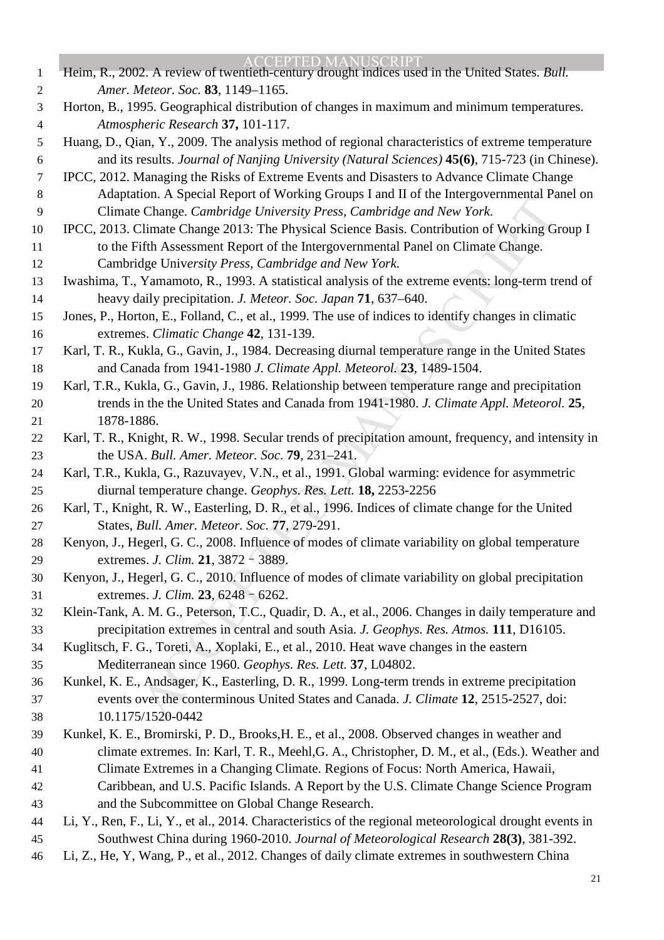on. *N* operator Reports Townary Golay Transmitted The Change. *Cambridge University Press*, *Cambridge and New York*.<br>
Limate Change. *Cambridge University Press*, *Cambridge and New York*.<br>
Limate Change. 2013: The Physi ACCEPTED MANUSCRIPT Heim, R., 2002. A review of twentieth-century drought indices used in the United States. *Bull. Amer. Meteor. Soc.* **83**, 1149–1165. Horton, B., 1995. Geographical distribution of changes in maximum and minimum temperatures. *Atmospheric Research* **37,** 101-117. Huang, D., Qian, Y., 2009. The analysis method of regional characteristics of extreme temperature and its results. *Journal of Nanjing University (Natural Sciences)* **45(6)**, 715-723 (in Chinese). IPCC, 2012. Managing the Risks of Extreme Events and Disasters to Advance Climate Change Adaptation. A Special Report of Working Groups I and II of the Intergovernmental Panel on Climate Change. *Cambridge University Press, Cambridge and New York*. IPCC, 2013. Climate Change 2013: The Physical Science Basis. Contribution of Working Group I to the Fifth Assessment Report of the Intergovernmental Panel on Climate Change. Cambridge Univ*ersity Press, Cambridge and New York*. Iwashima, T., Yamamoto, R., 1993. A statistical analysis of the extreme events: long-term trend of heavy daily precipitation. *J. Meteor. Soc. Japan* **71**, 637–640. Jones, P., Horton, E., Folland, C., et al., 1999. The use of indices to identify changes in climatic extremes. *Climatic Change* **42**, 131-139. Karl, T. R., Kukla, G., Gavin, J., 1984. Decreasing diurnal temperature range in the United States and Canada from 1941-1980 *J. Climate Appl. Meteorol.* **23**, 1489-1504. Karl, T.R., Kukla, G., Gavin, J., 1986. Relationship between temperature range and precipitation trends in the the United States and Canada from 1941-1980. *J. Climate Appl. Meteorol.* **25**, 1878-1886. Karl, T. R., Knight, R. W., 1998. Secular trends of precipitation amount, frequency, and intensity in the USA. *Bull. Amer. Meteor. Soc*. **79**, 231–241. Karl, T.R., Kukla, G., Razuvayev, V.N., et al., 1991. Global warming: evidence for asymmetric diurnal temperature change. *Geophys. Res. Lett.* **18,** 2253-2256 Karl, T., Knight, R. W., Easterling, D. R., et al., 1996. Indices of climate change for the United States, *Bull. Amer. Meteor. Soc.* **77**, 279-291. Kenyon, J., Hegerl, G. C., 2008. Influence of modes of climate variability on global temperature extremes. *J. Clim.* **21**, 3872–3889. Kenyon, J., Hegerl, G. C., 2010. Influence of modes of climate variability on global precipitation extremes. *J. Clim.* **23**, 6248–6262. Klein-Tank, A. M. G., Peterson, T.C., Quadir, D. A., et al., 2006. Changes in daily temperature and precipitation extremes in central and south Asia. *J. Geophys. Res. Atmos.* **111**, D16105. Kuglitsch, F. G., Toreti, A., Xoplaki, E., et al., 2010. Heat wave changes in the eastern Mediterranean since 1960. *Geophys. Res. Lett.* **37**, L04802. Kunkel, K. E., Andsager, K., Easterling, D. R., 1999. Long-term trends in extreme precipitation events over the conterminous United States and Canada. *J. Climate* **12**, 2515-2527, doi: 10.1175/1520-0442 Kunkel, K. E., Bromirski, P. D., Brooks,H. E., et al., 2008. Observed changes in weather and climate extremes. In: Karl, T. R., Meehl,G. A., Christopher, D. M., et al., (Eds.). Weather and Climate Extremes in a Changing Climate. Regions of Focus: North America, Hawaii, Caribbean, and U.S. Pacific Islands. A Report by the U.S. Climate Change Science Program and the Subcommittee on Global Change Research. Li, Y., Ren, F., Li, Y., et al., 2014. Characteristics of the regional meteorological drought events in Southwest China during 1960-2010. *Journal of Meteorological Research* **28(3)**, 381-392. Li, Z., He, Y, Wang, P., et al., 2012. Changes of daily climate extremes in southwestern China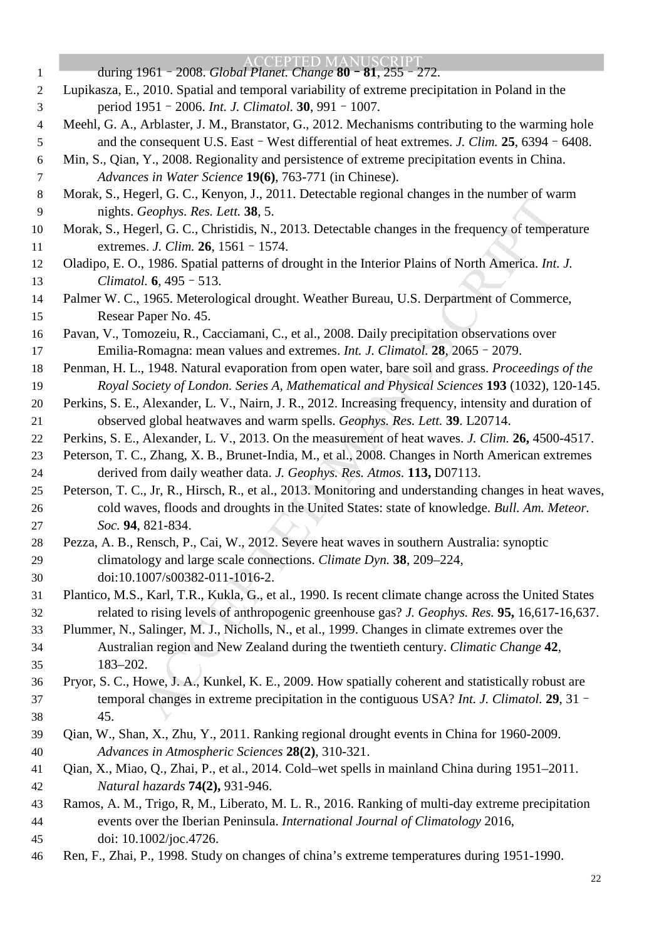Graphys. Res. Lett. 38, 5.<br>
Graphys. Res. Lett. 38, 5.<br>
Graphys. Res. Lett. 38, 5.<br>
Egerl, G. C., Christidis, N., 2013. Detectable changes in the frequency of tempe<br>
1. 1986. Spatial patterns of drought in the Interior Pl CEPTED MANIISCRIPT during 1961–2008. *Global Planet. Change* **80**–**81**, 255–272. Lupikasza, E., 2010. Spatial and temporal variability of extreme precipitation in Poland in the period 1951–2006. *Int. J. Climatol.* **30**, 991–1007. Meehl, G. A., Arblaster, J. M., Branstator, G., 2012. Mechanisms contributing to the warming hole and the consequent U.S. East–West differential of heat extremes. *J. Clim.* **25**, 6394–6408. Min, S., Qian, Y., 2008. Regionality and persistence of extreme precipitation events in China. *Advances in Water Science* **19(6)**, 763-771 (in Chinese). Morak, S., Hegerl, G. C., Kenyon, J., 2011. Detectable regional changes in the number of warm nights. *Geophys. Res. Lett.* **38**, 5. Morak, S., Hegerl, G. C., Christidis, N., 2013. Detectable changes in the frequency of temperature extremes. *J. Clim.* **26**, 1561–1574. Oladipo, E. O., 1986. Spatial patterns of drought in the Interior Plains of North America. *Int. J. Climatol.* **6**, 495–513. Palmer W. C., 1965. Meterological drought. Weather Bureau, U.S. Derpartment of Commerce, Resear Paper No. 45. Pavan, V., Tomozeiu, R., Cacciamani, C., et al., 2008. Daily precipitation observations over Emilia-Romagna: mean values and extremes. *Int. J. Climatol.* **28**, 2065–2079. Penman, H. L., 1948. Natural evaporation from open water, bare soil and grass. *Proceedings of the Royal Society of London. Series A, Mathematical and Physical Sciences* **193** (1032), 120-145. Perkins, S. E., Alexander, L. V., Nairn, J. R., 2012. Increasing frequency, intensity and duration of observed global heatwaves and warm spells. *Geophys. Res. Lett.* **39**. L20714. Perkins, S. E., Alexander, L. V., 2013. On the measurement of heat waves. *J. Clim.* **26,** 4500-4517. Peterson, T. C., Zhang, X. B., Brunet-India, M., et al., 2008. Changes in North American extremes derived from daily weather data. *J. Geophys. Res. Atmos.* **113,** D07113. Peterson, T. C., Jr, R., Hirsch, R., et al., 2013. Monitoring and understanding changes in heat waves, cold waves, floods and droughts in the United States: state of knowledge. *Bull. Am. Meteor. Soc.* **94**, 821-834. Pezza, A. B., Rensch, P., Cai, W., 2012. Severe heat waves in southern Australia: synoptic climatology and large scale connections. *Climate Dyn.* **38**, 209–224, doi:10.1007/s00382-011-1016-2. Plantico, M.S., Karl, T.R., Kukla, G., et al., 1990. Is recent climate change across the United States related to rising levels of anthropogenic greenhouse gas? *J. Geophys. Res.* **95,** 16,617-16,637. Plummer, N., Salinger, M. J., Nicholls, N., et al., 1999. Changes in climate extremes over the Australian region and New Zealand during the twentieth century. *Climatic Change* **42**, 183–202. Pryor, S. C., Howe, J. A., Kunkel, K. E., 2009. How spatially coherent and statistically robust are temporal changes in extreme precipitation in the contiguous USA? *Int. J. Climatol.* **29**, 31– 45. Qian, W., Shan, X., Zhu, Y., 2011. Ranking regional drought events in China for 1960-2009. *Advances in Atmospheric Sciences* **28(2)**, 310-321. Qian, X., Miao, Q., Zhai, P., et al., 2014. Cold–wet spells in mainland China during 1951–2011. *Natural hazards* **74(2),** 931-946. Ramos, A. M., Trigo, R, M., Liberato, M. L. R., 2016. Ranking of multi-day extreme precipitation events over the Iberian Peninsula. *International Journal of Climatology* 2016, doi: 10.1002/joc.4726. Ren, F., Zhai, P., 1998. Study on changes of china's extreme temperatures during 1951-1990.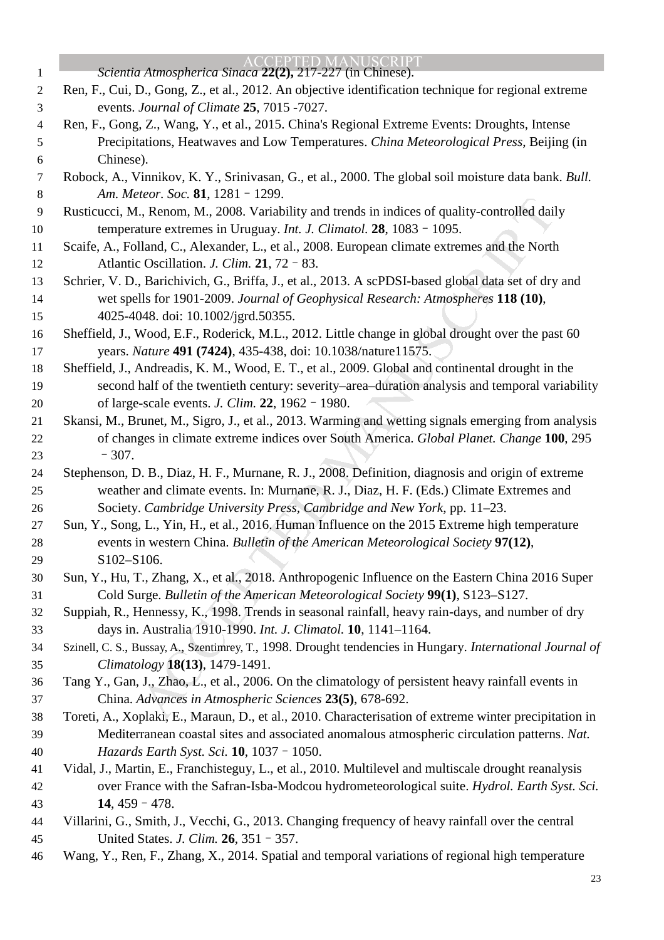| $\mathbf{1}$     | <b>ACCEPTED MANUSCRIPT</b><br>Scientia Atmospherica Sinaca 22(2), 217-227 (in Chinese).                                                                                                               |
|------------------|-------------------------------------------------------------------------------------------------------------------------------------------------------------------------------------------------------|
| $\boldsymbol{2}$ | Ren, F., Cui, D., Gong, Z., et al., 2012. An objective identification technique for regional extreme                                                                                                  |
| 3                | events. Journal of Climate 25, 7015 -7027.                                                                                                                                                            |
| $\overline{4}$   | Ren, F., Gong, Z., Wang, Y., et al., 2015. China's Regional Extreme Events: Droughts, Intense                                                                                                         |
| 5                | Precipitations, Heatwaves and Low Temperatures. China Meteorological Press, Beijing (in                                                                                                               |
| 6                | Chinese).                                                                                                                                                                                             |
| $\tau$           | Robock, A., Vinnikov, K. Y., Srinivasan, G., et al., 2000. The global soil moisture data bank. Bull.                                                                                                  |
| $8\,$            | Am. Meteor. Soc. 81, 1281 - 1299.                                                                                                                                                                     |
| 9                | Rusticucci, M., Renom, M., 2008. Variability and trends in indices of quality-controlled daily                                                                                                        |
| 10               | temperature extremes in Uruguay. Int. J. Climatol. 28, 1083 - 1095.                                                                                                                                   |
| 11               | Scaife, A., Folland, C., Alexander, L., et al., 2008. European climate extremes and the North                                                                                                         |
| 12               | Atlantic Oscillation. J. Clim. 21, 72 - 83.                                                                                                                                                           |
| 13               | Schrier, V. D., Barichivich, G., Briffa, J., et al., 2013. A scPDSI-based global data set of dry and                                                                                                  |
| 14               | wet spells for 1901-2009. Journal of Geophysical Research: Atmospheres 118 (10),                                                                                                                      |
| 15               | 4025-4048. doi: 10.1002/jgrd.50355.                                                                                                                                                                   |
| 16               | Sheffield, J., Wood, E.F., Roderick, M.L., 2012. Little change in global drought over the past 60                                                                                                     |
| 17               | years. Nature 491 (7424), 435-438, doi: 10.1038/nature11575.                                                                                                                                          |
| 18<br>19         | Sheffield, J., Andreadis, K. M., Wood, E. T., et al., 2009. Global and continental drought in the<br>second half of the twentieth century: severity–area–duration analysis and temporal variability   |
| 20               | of large-scale events. J. Clim. 22, 1962 - 1980.                                                                                                                                                      |
| 21               | Skansi, M., Brunet, M., Sigro, J., et al., 2013. Warming and wetting signals emerging from analysis                                                                                                   |
| 22               | of changes in climate extreme indices over South America. Global Planet. Change 100, 295                                                                                                              |
| 23               | $-307.$                                                                                                                                                                                               |
| 24               | Stephenson, D. B., Diaz, H. F., Murnane, R. J., 2008. Definition, diagnosis and origin of extreme                                                                                                     |
| 25               | weather and climate events. In: Murnane, R. J., Diaz, H. F. (Eds.) Climate Extremes and                                                                                                               |
| 26               | Society. Cambridge University Press, Cambridge and New York, pp. 11-23.                                                                                                                               |
| 27               | Sun, Y., Song, L., Yin, H., et al., 2016. Human Influence on the 2015 Extreme high temperature                                                                                                        |
| 28               | events in western China. Bulletin of the American Meteorological Society 97(12),                                                                                                                      |
| 29               | S102-S106.                                                                                                                                                                                            |
| 30               | Sun, Y., Hu, T., Zhang, X., et al., 2018. Anthropogenic Influence on the Eastern China 2016 Super                                                                                                     |
| 31               | Cold Surge. Bulletin of the American Meteorological Society 99(1), S123-S127.                                                                                                                         |
| 32               | Suppiah, R., Hennessy, K., 1998. Trends in seasonal rainfall, heavy rain-days, and number of dry                                                                                                      |
| 33               | days in. Australia 1910-1990. Int. J. Climatol. 10, 1141-1164.                                                                                                                                        |
| 34               | Szinell, C. S., Bussay, A., Szentimrey, T., 1998. Drought tendencies in Hungary. International Journal of                                                                                             |
| 35               | Climatology 18(13), 1479-1491.                                                                                                                                                                        |
| 36               | Tang Y., Gan, J., Zhao, L., et al., 2006. On the climatology of persistent heavy rainfall events in                                                                                                   |
| 37               | China. Advances in Atmospheric Sciences 23(5), 678-692.                                                                                                                                               |
| 38<br>39         | Toreti, A., Xoplaki, E., Maraun, D., et al., 2010. Characterisation of extreme winter precipitation in<br>Mediterranean coastal sites and associated anomalous atmospheric circulation patterns. Nat. |
| 40               | Hazards Earth Syst. Sci. 10, 1037 - 1050.                                                                                                                                                             |
| 41               | Vidal, J., Martin, E., Franchisteguy, L., et al., 2010. Multilevel and multiscale drought reanalysis                                                                                                  |
| 42               | over France with the Safran-Isba-Modcou hydrometeorological suite. Hydrol. Earth Syst. Sci.                                                                                                           |
| 43               | 14, $459 - 478$ .                                                                                                                                                                                     |
| 44               | Villarini, G., Smith, J., Vecchi, G., 2013. Changing frequency of heavy rainfall over the central                                                                                                     |
| 45               | United States. J. Clim. 26, 351 - 357.                                                                                                                                                                |
| 46               | Wang, Y., Ren, F., Zhang, X., 2014. Spatial and temporal variations of regional high temperature                                                                                                      |
|                  | 23                                                                                                                                                                                                    |
|                  |                                                                                                                                                                                                       |